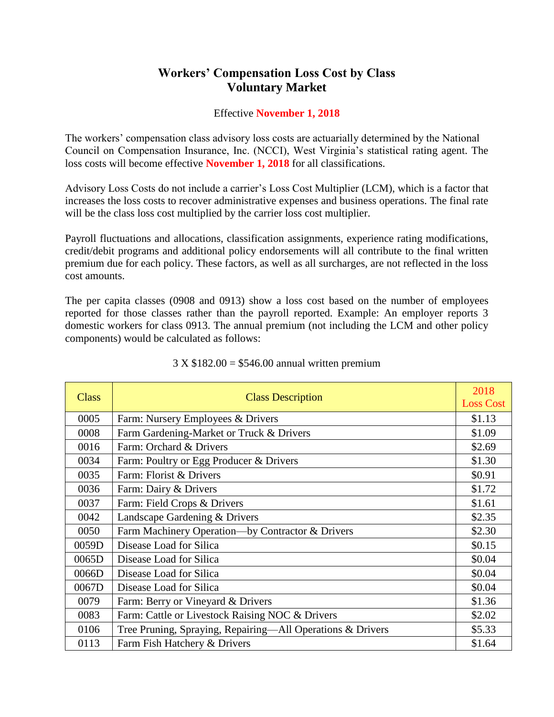## **Workers' Compensation Loss Cost by Class Voluntary Market**

## Effective **November 1, 2018**

The workers' compensation class advisory loss costs are actuarially determined by the National Council on Compensation Insurance, Inc. (NCCI), West Virginia's statistical rating agent. The loss costs will become effective **November 1, 2018** for all classifications.

Advisory Loss Costs do not include a carrier's Loss Cost Multiplier (LCM), which is a factor that increases the loss costs to recover administrative expenses and business operations. The final rate will be the class loss cost multiplied by the carrier loss cost multiplier.

Payroll fluctuations and allocations, classification assignments, experience rating modifications, credit/debit programs and additional policy endorsements will all contribute to the final written premium due for each policy. These factors, as well as all surcharges, are not reflected in the loss cost amounts.

The per capita classes (0908 and 0913) show a loss cost based on the number of employees reported for those classes rather than the payroll reported. Example: An employer reports 3 domestic workers for class 0913. The annual premium (not including the LCM and other policy components) would be calculated as follows:

| <b>Class</b> | <b>Class Description</b>                                   | 2018<br><b>Loss Cost</b> |
|--------------|------------------------------------------------------------|--------------------------|
| 0005         | Farm: Nursery Employees & Drivers                          | \$1.13                   |
| 0008         | Farm Gardening-Market or Truck & Drivers                   | \$1.09                   |
| 0016         | Farm: Orchard & Drivers                                    | \$2.69                   |
| 0034         | Farm: Poultry or Egg Producer & Drivers                    | \$1.30                   |
| 0035         | Farm: Florist & Drivers                                    | \$0.91                   |
| 0036         | Farm: Dairy & Drivers                                      | \$1.72                   |
| 0037         | Farm: Field Crops & Drivers                                | \$1.61                   |
| 0042         | Landscape Gardening & Drivers                              | \$2.35                   |
| 0050         | Farm Machinery Operation—by Contractor & Drivers           | \$2.30                   |
| 0059D        | Disease Load for Silica                                    | \$0.15                   |
| 0065D        | Disease Load for Silica                                    | \$0.04                   |
| 0066D        | Disease Load for Silica                                    | \$0.04                   |
| 0067D        | Disease Load for Silica                                    | \$0.04                   |
| 0079         | Farm: Berry or Vineyard & Drivers                          | \$1.36                   |
| 0083         | Farm: Cattle or Livestock Raising NOC & Drivers            | \$2.02                   |
| 0106         | Tree Pruning, Spraying, Repairing-All Operations & Drivers | \$5.33                   |
| 0113         | Farm Fish Hatchery & Drivers                               | \$1.64                   |

## 3 X \$182.00 = \$546.00 annual written premium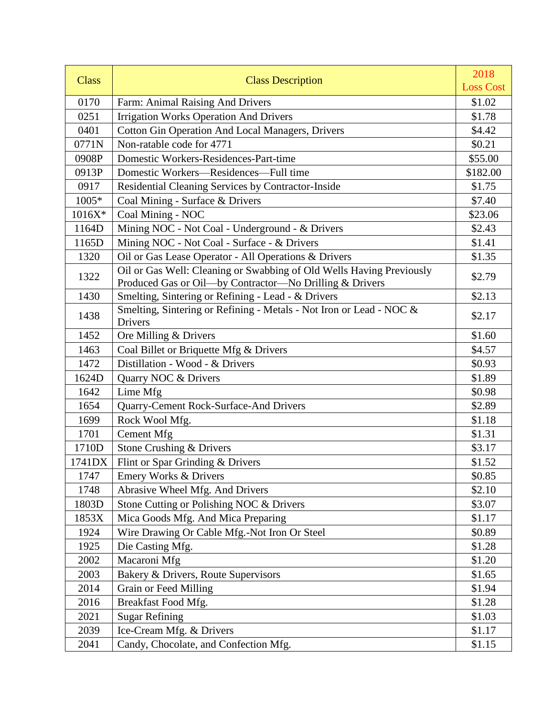| <b>Class</b> | <b>Class Description</b>                                                                                                        | 2018<br><b>Loss Cost</b> |
|--------------|---------------------------------------------------------------------------------------------------------------------------------|--------------------------|
| 0170         | Farm: Animal Raising And Drivers                                                                                                | \$1.02                   |
| 0251         | <b>Irrigation Works Operation And Drivers</b>                                                                                   | \$1.78                   |
| 0401         | <b>Cotton Gin Operation And Local Managers, Drivers</b>                                                                         | \$4.42                   |
| 0771N        | Non-ratable code for 4771                                                                                                       | \$0.21                   |
| 0908P        | Domestic Workers-Residences-Part-time                                                                                           | \$55.00                  |
| 0913P        | Domestic Workers-Residences-Full time                                                                                           | \$182.00                 |
| 0917         | Residential Cleaning Services by Contractor-Inside                                                                              | \$1.75                   |
| 1005*        | Coal Mining - Surface & Drivers                                                                                                 | \$7.40                   |
| $1016X*$     | Coal Mining - NOC                                                                                                               | \$23.06                  |
| 1164D        | Mining NOC - Not Coal - Underground - & Drivers                                                                                 | \$2.43                   |
| 1165D        | Mining NOC - Not Coal - Surface - & Drivers                                                                                     | \$1.41                   |
| 1320         | Oil or Gas Lease Operator - All Operations & Drivers                                                                            | \$1.35                   |
| 1322         | Oil or Gas Well: Cleaning or Swabbing of Old Wells Having Previously<br>Produced Gas or Oil-by Contractor-No Drilling & Drivers | \$2.79                   |
| 1430         | Smelting, Sintering or Refining - Lead - & Drivers                                                                              | \$2.13                   |
| 1438         | Smelting, Sintering or Refining - Metals - Not Iron or Lead - NOC &<br><b>Drivers</b>                                           | \$2.17                   |
| 1452         | Ore Milling & Drivers                                                                                                           | \$1.60                   |
| 1463         | Coal Billet or Briquette Mfg & Drivers                                                                                          | \$4.57                   |
| 1472         | Distillation - Wood - & Drivers                                                                                                 | \$0.93                   |
| 1624D        | Quarry NOC & Drivers                                                                                                            | \$1.89                   |
| 1642         | Lime Mfg                                                                                                                        | \$0.98                   |
| 1654         | Quarry-Cement Rock-Surface-And Drivers                                                                                          | \$2.89                   |
| 1699         | Rock Wool Mfg.                                                                                                                  | \$1.18                   |
| 1701         | <b>Cement Mfg</b>                                                                                                               | \$1.31                   |
| 1710D        | Stone Crushing & Drivers                                                                                                        | \$3.17                   |
| 1741DX       | Flint or Spar Grinding & Drivers                                                                                                | \$1.52                   |
| 1747         | <b>Emery Works &amp; Drivers</b>                                                                                                | \$0.85                   |
| 1748         | Abrasive Wheel Mfg. And Drivers                                                                                                 | \$2.10                   |
| 1803D        | Stone Cutting or Polishing NOC & Drivers                                                                                        | \$3.07                   |
| 1853X        | Mica Goods Mfg. And Mica Preparing                                                                                              | \$1.17                   |
| 1924         | Wire Drawing Or Cable Mfg.-Not Iron Or Steel                                                                                    | \$0.89                   |
| 1925         | Die Casting Mfg.                                                                                                                | \$1.28                   |
| 2002         | Macaroni Mfg                                                                                                                    | \$1.20                   |
| 2003         | Bakery & Drivers, Route Supervisors                                                                                             | \$1.65                   |
| 2014         | Grain or Feed Milling                                                                                                           | \$1.94                   |
| 2016         | Breakfast Food Mfg.                                                                                                             | \$1.28                   |
| 2021         | <b>Sugar Refining</b>                                                                                                           | \$1.03                   |
| 2039         | Ice-Cream Mfg. & Drivers                                                                                                        | \$1.17                   |
| 2041         | Candy, Chocolate, and Confection Mfg.                                                                                           | \$1.15                   |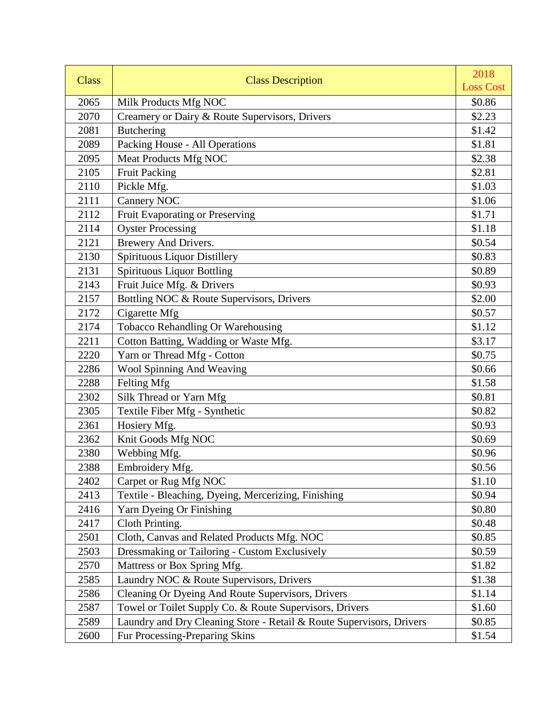| <b>Class</b> | <b>Class Description</b>                                             | 2018             |
|--------------|----------------------------------------------------------------------|------------------|
|              |                                                                      | <b>Loss Cost</b> |
| 2065         | Milk Products Mfg NOC                                                | \$0.86           |
| 2070         | Creamery or Dairy & Route Supervisors, Drivers                       | \$2.23           |
| 2081         | <b>Butchering</b>                                                    | \$1.42           |
| 2089         | Packing House - All Operations                                       | \$1.81           |
| 2095         | Meat Products Mfg NOC                                                | \$2.38           |
| 2105         | <b>Fruit Packing</b>                                                 | \$2.81           |
| 2110         | Pickle Mfg.                                                          | \$1.03           |
| 2111         | <b>Cannery NOC</b>                                                   | \$1.06           |
| 2112         | Fruit Evaporating or Preserving                                      | \$1.71           |
| 2114         | <b>Oyster Processing</b>                                             | \$1.18           |
| 2121         | Brewery And Drivers.                                                 | \$0.54           |
| 2130         | <b>Spirituous Liquor Distillery</b>                                  | \$0.83           |
| 2131         | <b>Spirituous Liquor Bottling</b>                                    | \$0.89           |
| 2143         | Fruit Juice Mfg. & Drivers                                           | \$0.93           |
| 2157         | Bottling NOC & Route Supervisors, Drivers                            | \$2.00           |
| 2172         | Cigarette Mfg                                                        | \$0.57           |
| 2174         | Tobacco Rehandling Or Warehousing                                    | \$1.12           |
| 2211         | Cotton Batting, Wadding or Waste Mfg.                                | \$3.17           |
| 2220         | Yarn or Thread Mfg - Cotton                                          | \$0.75           |
| 2286         | Wool Spinning And Weaving                                            | \$0.66           |
| 2288         | Felting Mfg                                                          | \$1.58           |
| 2302         | Silk Thread or Yarn Mfg                                              | \$0.81           |
| 2305         | Textile Fiber Mfg - Synthetic                                        | \$0.82           |
| 2361         | Hosiery Mfg.                                                         | \$0.93           |
| 2362         | Knit Goods Mfg NOC                                                   | \$0.69           |
| 2380         | Webbing Mfg.                                                         | \$0.96           |
| 2388         | Embroidery Mfg.                                                      | \$0.56           |
| 2402         | Carpet or Rug Mfg NOC                                                | \$1.10           |
| 2413         | Textile - Bleaching, Dyeing, Mercerizing, Finishing                  | \$0.94           |
| 2416         | Yarn Dyeing Or Finishing                                             | \$0.80           |
| 2417         | Cloth Printing.                                                      | \$0.48           |
| 2501         | Cloth, Canvas and Related Products Mfg. NOC                          | \$0.85           |
| 2503         | Dressmaking or Tailoring - Custom Exclusively                        | \$0.59           |
| 2570         | Mattress or Box Spring Mfg.                                          | \$1.82           |
| 2585         | Laundry NOC & Route Supervisors, Drivers                             | \$1.38           |
| 2586         | Cleaning Or Dyeing And Route Supervisors, Drivers                    | \$1.14           |
| 2587         | Towel or Toilet Supply Co. & Route Supervisors, Drivers              | \$1.60           |
| 2589         | Laundry and Dry Cleaning Store - Retail & Route Supervisors, Drivers | \$0.85           |
| 2600         | Fur Processing-Preparing Skins                                       | \$1.54           |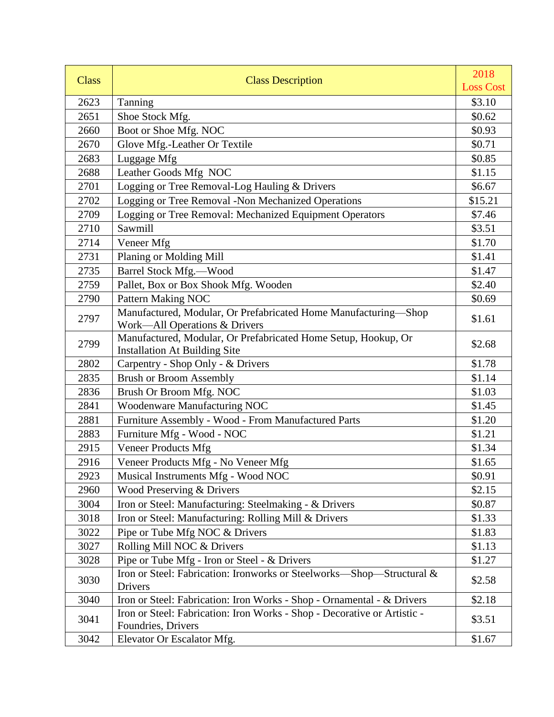| <b>Class</b> | <b>Class Description</b>                                                                               | 2018             |
|--------------|--------------------------------------------------------------------------------------------------------|------------------|
|              |                                                                                                        | <b>Loss Cost</b> |
| 2623         | Tanning                                                                                                | \$3.10           |
| 2651         | Shoe Stock Mfg.                                                                                        | \$0.62           |
| 2660         | Boot or Shoe Mfg. NOC                                                                                  | \$0.93           |
| 2670         | Glove Mfg.-Leather Or Textile                                                                          | \$0.71           |
| 2683         | Luggage Mfg                                                                                            | \$0.85           |
| 2688         | Leather Goods Mfg NOC                                                                                  | \$1.15           |
| 2701         | Logging or Tree Removal-Log Hauling & Drivers                                                          | \$6.67           |
| 2702         | Logging or Tree Removal -Non Mechanized Operations                                                     | \$15.21          |
| 2709         | Logging or Tree Removal: Mechanized Equipment Operators                                                | \$7.46           |
| 2710         | Sawmill                                                                                                | \$3.51           |
| 2714         | Veneer Mfg                                                                                             | \$1.70           |
| 2731         | Planing or Molding Mill                                                                                | \$1.41           |
| 2735         | Barrel Stock Mfg.-Wood                                                                                 | \$1.47           |
| 2759         | Pallet, Box or Box Shook Mfg. Wooden                                                                   | \$2.40           |
| 2790         | <b>Pattern Making NOC</b>                                                                              | \$0.69           |
| 2797         | Manufactured, Modular, Or Prefabricated Home Manufacturing-Shop<br>Work-All Operations & Drivers       | \$1.61           |
| 2799         | Manufactured, Modular, Or Prefabricated Home Setup, Hookup, Or<br><b>Installation At Building Site</b> | \$2.68           |
| 2802         | Carpentry - Shop Only - & Drivers                                                                      | \$1.78           |
| 2835         | <b>Brush or Broom Assembly</b>                                                                         | \$1.14           |
| 2836         | Brush Or Broom Mfg. NOC                                                                                | \$1.03           |
| 2841         | Woodenware Manufacturing NOC                                                                           | \$1.45           |
| 2881         | Furniture Assembly - Wood - From Manufactured Parts                                                    | \$1.20           |
| 2883         | Furniture Mfg - Wood - NOC                                                                             | \$1.21           |
| 2915         | Veneer Products Mfg                                                                                    | \$1.34           |
| 2916         | Veneer Products Mfg - No Veneer Mfg                                                                    | \$1.65           |
| 2923         | Musical Instruments Mfg - Wood NOC                                                                     | \$0.91           |
| 2960         | Wood Preserving & Drivers                                                                              | \$2.15           |
| 3004         | Iron or Steel: Manufacturing: Steelmaking - & Drivers                                                  | \$0.87           |
| 3018         | Iron or Steel: Manufacturing: Rolling Mill & Drivers                                                   | \$1.33           |
| 3022         | Pipe or Tube Mfg NOC & Drivers                                                                         | \$1.83           |
| 3027         | Rolling Mill NOC & Drivers                                                                             | \$1.13           |
| 3028         | Pipe or Tube Mfg - Iron or Steel - & Drivers                                                           | \$1.27           |
| 3030         | Iron or Steel: Fabrication: Ironworks or Steelworks-Shop-Structural &<br>Drivers                       | \$2.58           |
| 3040         | Iron or Steel: Fabrication: Iron Works - Shop - Ornamental - & Drivers                                 | \$2.18           |
| 3041         | Iron or Steel: Fabrication: Iron Works - Shop - Decorative or Artistic -<br>Foundries, Drivers         | \$3.51           |
| 3042         | Elevator Or Escalator Mfg.                                                                             | \$1.67           |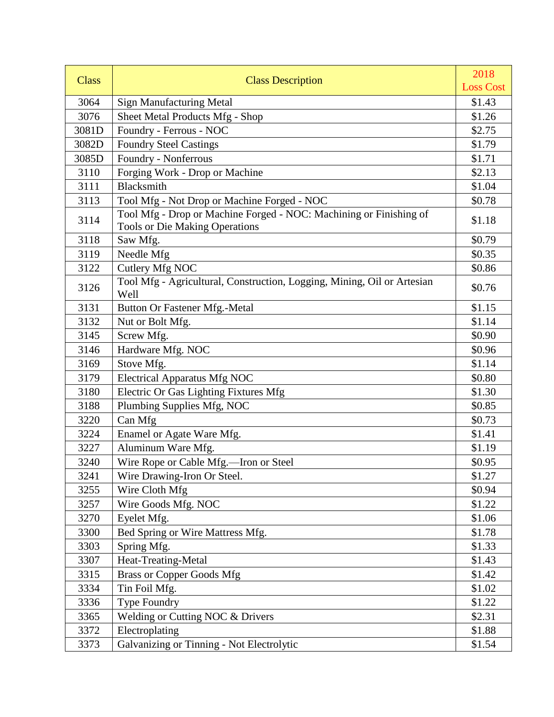| <b>Class</b> | <b>Class Description</b>                                                                                    | 2018             |
|--------------|-------------------------------------------------------------------------------------------------------------|------------------|
|              |                                                                                                             | <b>Loss Cost</b> |
| 3064         | <b>Sign Manufacturing Metal</b>                                                                             | \$1.43           |
| 3076         | Sheet Metal Products Mfg - Shop                                                                             | \$1.26           |
| 3081D        | Foundry - Ferrous - NOC                                                                                     | \$2.75           |
| 3082D        | <b>Foundry Steel Castings</b>                                                                               | \$1.79           |
| 3085D        | Foundry - Nonferrous                                                                                        | \$1.71           |
| 3110         | Forging Work - Drop or Machine                                                                              | \$2.13           |
| 3111         | <b>Blacksmith</b>                                                                                           | \$1.04           |
| 3113         | Tool Mfg - Not Drop or Machine Forged - NOC                                                                 | \$0.78           |
| 3114         | Tool Mfg - Drop or Machine Forged - NOC: Machining or Finishing of<br><b>Tools or Die Making Operations</b> | \$1.18           |
| 3118         | Saw Mfg.                                                                                                    | \$0.79           |
| 3119         | Needle Mfg                                                                                                  | \$0.35           |
| 3122         | Cutlery Mfg NOC                                                                                             | \$0.86           |
| 3126         | Tool Mfg - Agricultural, Construction, Logging, Mining, Oil or Artesian<br>Well                             | \$0.76           |
| 3131         | Button Or Fastener Mfg.-Metal                                                                               | \$1.15           |
| 3132         | Nut or Bolt Mfg.                                                                                            | \$1.14           |
| 3145         | Screw Mfg.                                                                                                  | \$0.90           |
| 3146         | Hardware Mfg. NOC                                                                                           | \$0.96           |
| 3169         | Stove Mfg.                                                                                                  | \$1.14           |
| 3179         | <b>Electrical Apparatus Mfg NOC</b>                                                                         | \$0.80           |
| 3180         | Electric Or Gas Lighting Fixtures Mfg                                                                       | \$1.30           |
| 3188         | Plumbing Supplies Mfg, NOC                                                                                  | \$0.85           |
| 3220         | Can Mfg                                                                                                     | \$0.73           |
| 3224         | Enamel or Agate Ware Mfg.                                                                                   | \$1.41           |
| 3227         | Aluminum Ware Mfg.                                                                                          | \$1.19           |
| 3240         | Wire Rope or Cable Mfg.-Iron or Steel                                                                       | \$0.95           |
| 3241         | Wire Drawing-Iron Or Steel.                                                                                 | \$1.27           |
| 3255         | Wire Cloth Mfg                                                                                              | \$0.94           |
| 3257         | Wire Goods Mfg. NOC                                                                                         | \$1.22           |
| 3270         | Eyelet Mfg.                                                                                                 | \$1.06           |
| 3300         | Bed Spring or Wire Mattress Mfg.                                                                            | \$1.78           |
| 3303         | Spring Mfg.                                                                                                 | \$1.33           |
| 3307         | Heat-Treating-Metal                                                                                         | \$1.43           |
| 3315         | <b>Brass or Copper Goods Mfg</b>                                                                            | \$1.42           |
| 3334         | Tin Foil Mfg.                                                                                               | \$1.02           |
| 3336         | Type Foundry                                                                                                | \$1.22           |
| 3365         | Welding or Cutting NOC & Drivers                                                                            | \$2.31           |
| 3372         | Electroplating                                                                                              | \$1.88           |
| 3373         | Galvanizing or Tinning - Not Electrolytic                                                                   | \$1.54           |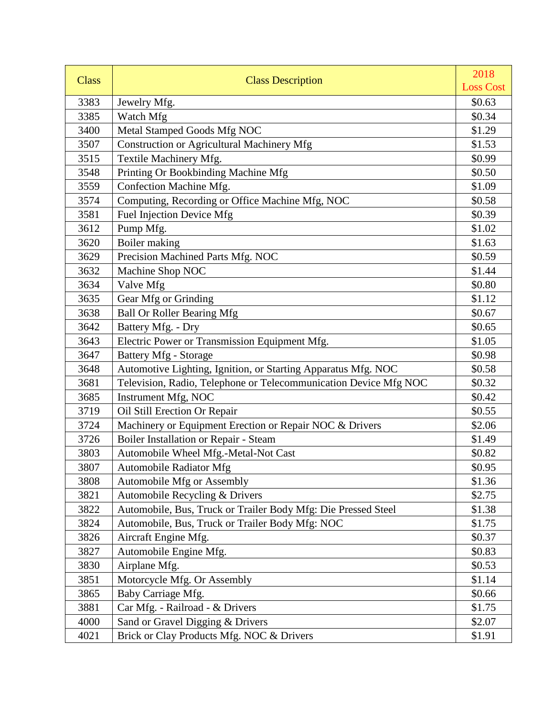| <b>Class</b> | <b>Class Description</b>                                         | 2018             |
|--------------|------------------------------------------------------------------|------------------|
|              |                                                                  | <b>Loss Cost</b> |
| 3383         | Jewelry Mfg.                                                     | \$0.63           |
| 3385         | Watch Mfg                                                        | \$0.34           |
| 3400         | Metal Stamped Goods Mfg NOC                                      | \$1.29           |
| 3507         | <b>Construction or Agricultural Machinery Mfg</b>                | \$1.53           |
| 3515         | Textile Machinery Mfg.                                           | \$0.99           |
| 3548         | Printing Or Bookbinding Machine Mfg                              | \$0.50           |
| 3559         | Confection Machine Mfg.                                          | \$1.09           |
| 3574         | Computing, Recording or Office Machine Mfg, NOC                  | \$0.58           |
| 3581         | <b>Fuel Injection Device Mfg</b>                                 | \$0.39           |
| 3612         | Pump Mfg.                                                        | \$1.02           |
| 3620         | Boiler making                                                    | \$1.63           |
| 3629         | Precision Machined Parts Mfg. NOC                                | \$0.59           |
| 3632         | Machine Shop NOC                                                 | \$1.44           |
| 3634         | Valve Mfg                                                        | \$0.80           |
| 3635         | Gear Mfg or Grinding                                             | \$1.12           |
| 3638         | <b>Ball Or Roller Bearing Mfg</b>                                | \$0.67           |
| 3642         | Battery Mfg. - Dry                                               | \$0.65           |
| 3643         | Electric Power or Transmission Equipment Mfg.                    | \$1.05           |
| 3647         | <b>Battery Mfg - Storage</b>                                     | \$0.98           |
| 3648         | Automotive Lighting, Ignition, or Starting Apparatus Mfg. NOC    | \$0.58           |
| 3681         | Television, Radio, Telephone or Telecommunication Device Mfg NOC | \$0.32           |
| 3685         | Instrument Mfg, NOC                                              | \$0.42           |
| 3719         | Oil Still Erection Or Repair                                     | \$0.55           |
| 3724         | Machinery or Equipment Erection or Repair NOC & Drivers          | \$2.06           |
| 3726         | Boiler Installation or Repair - Steam                            | \$1.49           |
| 3803         | Automobile Wheel Mfg.-Metal-Not Cast                             | \$0.82           |
| 3807         | <b>Automobile Radiator Mfg</b>                                   | \$0.95           |
| 3808         | <b>Automobile Mfg or Assembly</b>                                | \$1.36           |
| 3821         | Automobile Recycling & Drivers                                   | \$2.75           |
| 3822         | Automobile, Bus, Truck or Trailer Body Mfg: Die Pressed Steel    | \$1.38           |
| 3824         | Automobile, Bus, Truck or Trailer Body Mfg: NOC                  | \$1.75           |
| 3826         | Aircraft Engine Mfg.                                             | \$0.37           |
| 3827         | Automobile Engine Mfg.                                           | \$0.83           |
| 3830         | Airplane Mfg.                                                    | \$0.53           |
| 3851         | Motorcycle Mfg. Or Assembly                                      | \$1.14           |
| 3865         | Baby Carriage Mfg.                                               | \$0.66           |
| 3881         | Car Mfg. - Railroad - & Drivers                                  | \$1.75           |
| 4000         | Sand or Gravel Digging & Drivers                                 | \$2.07           |
| 4021         | Brick or Clay Products Mfg. NOC & Drivers                        | \$1.91           |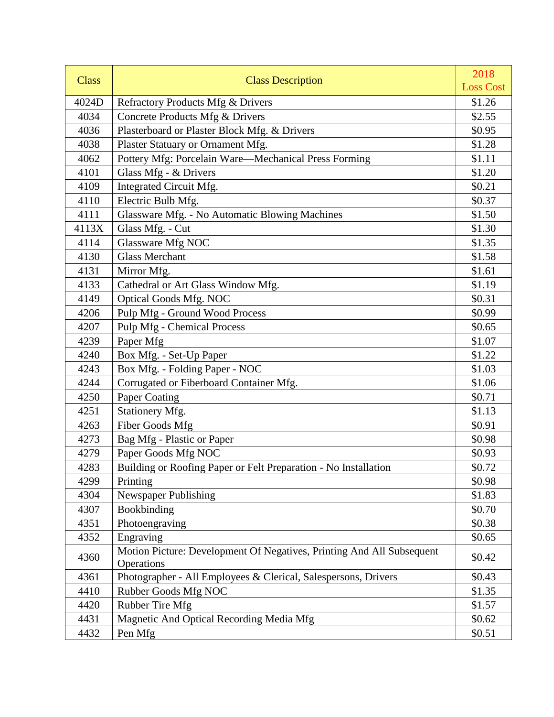| <b>Class</b> | <b>Class Description</b>                                                            | 2018             |
|--------------|-------------------------------------------------------------------------------------|------------------|
|              |                                                                                     | <b>Loss Cost</b> |
| 4024D        | Refractory Products Mfg & Drivers                                                   | \$1.26           |
| 4034         | Concrete Products Mfg & Drivers                                                     | \$2.55           |
| 4036         | Plasterboard or Plaster Block Mfg. & Drivers                                        | \$0.95           |
| 4038         | Plaster Statuary or Ornament Mfg.                                                   | \$1.28           |
| 4062         | Pottery Mfg: Porcelain Ware-Mechanical Press Forming                                | \$1.11           |
| 4101         | Glass Mfg - & Drivers                                                               | \$1.20           |
| 4109         | Integrated Circuit Mfg.                                                             | \$0.21           |
| 4110         | Electric Bulb Mfg.                                                                  | \$0.37           |
| 4111         | Glassware Mfg. - No Automatic Blowing Machines                                      | \$1.50           |
| 4113X        | Glass Mfg. - Cut                                                                    | \$1.30           |
| 4114         | Glassware Mfg NOC                                                                   | \$1.35           |
| 4130         | <b>Glass Merchant</b>                                                               | \$1.58           |
| 4131         | Mirror Mfg.                                                                         | \$1.61           |
| 4133         | Cathedral or Art Glass Window Mfg.                                                  | \$1.19           |
| 4149         | <b>Optical Goods Mfg. NOC</b>                                                       | \$0.31           |
| 4206         | Pulp Mfg - Ground Wood Process                                                      | \$0.99           |
| 4207         | <b>Pulp Mfg - Chemical Process</b>                                                  | \$0.65           |
| 4239         | Paper Mfg                                                                           | \$1.07           |
| 4240         | Box Mfg. - Set-Up Paper                                                             | \$1.22           |
| 4243         | Box Mfg. - Folding Paper - NOC                                                      | \$1.03           |
| 4244         | Corrugated or Fiberboard Container Mfg.                                             | \$1.06           |
| 4250         | Paper Coating                                                                       | \$0.71           |
| 4251         | Stationery Mfg.                                                                     | \$1.13           |
| 4263         | Fiber Goods Mfg                                                                     | \$0.91           |
| 4273         | Bag Mfg - Plastic or Paper                                                          | \$0.98           |
| 4279         | Paper Goods Mfg NOC                                                                 | \$0.93           |
| 4283         | Building or Roofing Paper or Felt Preparation - No Installation                     | \$0.72           |
| 4299         | Printing                                                                            | \$0.98           |
| 4304         | <b>Newspaper Publishing</b>                                                         | \$1.83           |
| 4307         | Bookbinding                                                                         | \$0.70           |
| 4351         | Photoengraving                                                                      | \$0.38           |
| 4352         | Engraving                                                                           | \$0.65           |
| 4360         | Motion Picture: Development Of Negatives, Printing And All Subsequent<br>Operations | \$0.42           |
| 4361         | Photographer - All Employees & Clerical, Salespersons, Drivers                      | \$0.43           |
| 4410         | Rubber Goods Mfg NOC                                                                | \$1.35           |
| 4420         | Rubber Tire Mfg                                                                     | \$1.57           |
| 4431         | Magnetic And Optical Recording Media Mfg                                            | \$0.62           |
| 4432         | Pen Mfg                                                                             | \$0.51           |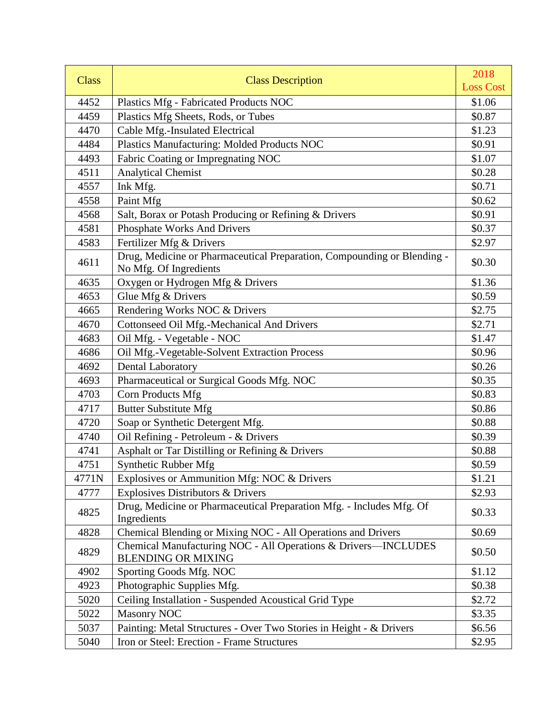| <b>Class</b> | <b>Class Description</b>                                                                          | 2018<br><b>Loss Cost</b> |
|--------------|---------------------------------------------------------------------------------------------------|--------------------------|
| 4452         |                                                                                                   | \$1.06                   |
| 4459         | Plastics Mfg - Fabricated Products NOC                                                            | \$0.87                   |
| 4470         | Plastics Mfg Sheets, Rods, or Tubes<br>Cable Mfg.-Insulated Electrical                            | \$1.23                   |
| 4484         |                                                                                                   | \$0.91                   |
|              | Plastics Manufacturing: Molded Products NOC                                                       |                          |
| 4493         | Fabric Coating or Impregnating NOC                                                                | \$1.07                   |
| 4511         | <b>Analytical Chemist</b>                                                                         | \$0.28                   |
| 4557         | Ink Mfg.                                                                                          | \$0.71                   |
| 4558         | Paint Mfg                                                                                         | \$0.62                   |
| 4568         | Salt, Borax or Potash Producing or Refining & Drivers                                             | \$0.91                   |
| 4581         | Phosphate Works And Drivers                                                                       | \$0.37                   |
| 4583         | Fertilizer Mfg & Drivers                                                                          | \$2.97                   |
| 4611         | Drug, Medicine or Pharmaceutical Preparation, Compounding or Blending -<br>No Mfg. Of Ingredients | \$0.30                   |
| 4635         | Oxygen or Hydrogen Mfg & Drivers                                                                  | \$1.36                   |
| 4653         | Glue Mfg & Drivers                                                                                | \$0.59                   |
| 4665         | Rendering Works NOC & Drivers                                                                     | \$2.75                   |
| 4670         | Cottonseed Oil Mfg.-Mechanical And Drivers                                                        | \$2.71                   |
| 4683         | Oil Mfg. - Vegetable - NOC                                                                        | \$1.47                   |
| 4686         | Oil Mfg.-Vegetable-Solvent Extraction Process                                                     | \$0.96                   |
| 4692         | Dental Laboratory                                                                                 | \$0.26                   |
| 4693         | Pharmaceutical or Surgical Goods Mfg. NOC                                                         | \$0.35                   |
| 4703         | <b>Corn Products Mfg</b>                                                                          | \$0.83                   |
| 4717         | <b>Butter Substitute Mfg</b>                                                                      | \$0.86                   |
| 4720         | Soap or Synthetic Detergent Mfg.                                                                  | \$0.88                   |
| 4740         | Oil Refining - Petroleum - & Drivers                                                              | \$0.39                   |
| 4741         | Asphalt or Tar Distilling or Refining & Drivers                                                   | \$0.88                   |
| 4751         | <b>Synthetic Rubber Mfg</b>                                                                       | \$0.59                   |
| 4771N        | Explosives or Ammunition Mfg: NOC & Drivers                                                       | \$1.21                   |
| 4777         | <b>Explosives Distributors &amp; Drivers</b>                                                      | \$2.93                   |
| 4825         | Drug, Medicine or Pharmaceutical Preparation Mfg. - Includes Mfg. Of<br>Ingredients               | \$0.33                   |
| 4828         | Chemical Blending or Mixing NOC - All Operations and Drivers                                      | \$0.69                   |
| 4829         | Chemical Manufacturing NOC - All Operations & Drivers-INCLUDES<br><b>BLENDING OR MIXING</b>       | \$0.50                   |
| 4902         | Sporting Goods Mfg. NOC                                                                           | \$1.12                   |
| 4923         | Photographic Supplies Mfg.                                                                        | \$0.38                   |
| 5020         | Ceiling Installation - Suspended Acoustical Grid Type                                             | \$2.72                   |
| 5022         | <b>Masonry NOC</b>                                                                                | \$3.35                   |
| 5037         | Painting: Metal Structures - Over Two Stories in Height - & Drivers                               | \$6.56                   |
| 5040         | Iron or Steel: Erection - Frame Structures                                                        | \$2.95                   |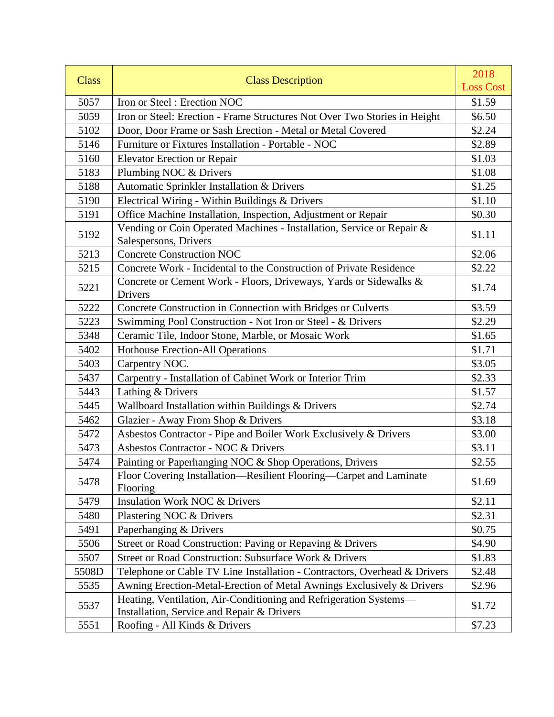| <b>Class</b> | <b>Class Description</b>                                                                                        | 2018<br><b>Loss Cost</b> |
|--------------|-----------------------------------------------------------------------------------------------------------------|--------------------------|
| 5057         | Iron or Steel: Erection NOC                                                                                     | \$1.59                   |
| 5059         | Iron or Steel: Erection - Frame Structures Not Over Two Stories in Height                                       | \$6.50                   |
| 5102         | Door, Door Frame or Sash Erection - Metal or Metal Covered                                                      | \$2.24                   |
| 5146         | Furniture or Fixtures Installation - Portable - NOC                                                             | \$2.89                   |
| 5160         | <b>Elevator Erection or Repair</b>                                                                              | \$1.03                   |
| 5183         | Plumbing NOC & Drivers                                                                                          | \$1.08                   |
| 5188         | Automatic Sprinkler Installation & Drivers                                                                      | \$1.25                   |
| 5190         | Electrical Wiring - Within Buildings & Drivers                                                                  | \$1.10                   |
| 5191         | Office Machine Installation, Inspection, Adjustment or Repair                                                   | \$0.30                   |
|              | Vending or Coin Operated Machines - Installation, Service or Repair &                                           |                          |
| 5192         | Salespersons, Drivers                                                                                           | \$1.11                   |
| 5213         | <b>Concrete Construction NOC</b>                                                                                | \$2.06                   |
| 5215         | Concrete Work - Incidental to the Construction of Private Residence                                             | \$2.22                   |
| 5221         | Concrete or Cement Work - Floors, Driveways, Yards or Sidewalks &<br>Drivers                                    | \$1.74                   |
| 5222         | Concrete Construction in Connection with Bridges or Culverts                                                    | \$3.59                   |
| 5223         | Swimming Pool Construction - Not Iron or Steel - & Drivers                                                      | \$2.29                   |
| 5348         | Ceramic Tile, Indoor Stone, Marble, or Mosaic Work                                                              | \$1.65                   |
| 5402         | <b>Hothouse Erection-All Operations</b>                                                                         | \$1.71                   |
| 5403         | Carpentry NOC.                                                                                                  | \$3.05                   |
| 5437         | Carpentry - Installation of Cabinet Work or Interior Trim                                                       | \$2.33                   |
| 5443         | Lathing & Drivers                                                                                               | \$1.57                   |
| 5445         | Wallboard Installation within Buildings & Drivers                                                               | \$2.74                   |
| 5462         | Glazier - Away From Shop & Drivers                                                                              | \$3.18                   |
| 5472         | Asbestos Contractor - Pipe and Boiler Work Exclusively & Drivers                                                | \$3.00                   |
| 5473         | Asbestos Contractor - NOC & Drivers                                                                             | \$3.11                   |
| 5474         | Painting or Paperhanging NOC & Shop Operations, Drivers                                                         | \$2.55                   |
| 5478         | Floor Covering Installation—Resilient Flooring—Carpet and Laminate<br>Flooring                                  | \$1.69                   |
| 5479         | <b>Insulation Work NOC &amp; Drivers</b>                                                                        | \$2.11                   |
| 5480         | Plastering NOC & Drivers                                                                                        | \$2.31                   |
| 5491         | Paperhanging & Drivers                                                                                          | \$0.75                   |
| 5506         | Street or Road Construction: Paving or Repaving & Drivers                                                       | \$4.90                   |
| 5507         | Street or Road Construction: Subsurface Work & Drivers                                                          | \$1.83                   |
| 5508D        | Telephone or Cable TV Line Installation - Contractors, Overhead & Drivers                                       | \$2.48                   |
| 5535         | Awning Erection-Metal-Erection of Metal Awnings Exclusively & Drivers                                           | \$2.96                   |
| 5537         | Heating, Ventilation, Air-Conditioning and Refrigeration Systems-<br>Installation, Service and Repair & Drivers | \$1.72                   |
| 5551         | Roofing - All Kinds & Drivers                                                                                   | \$7.23                   |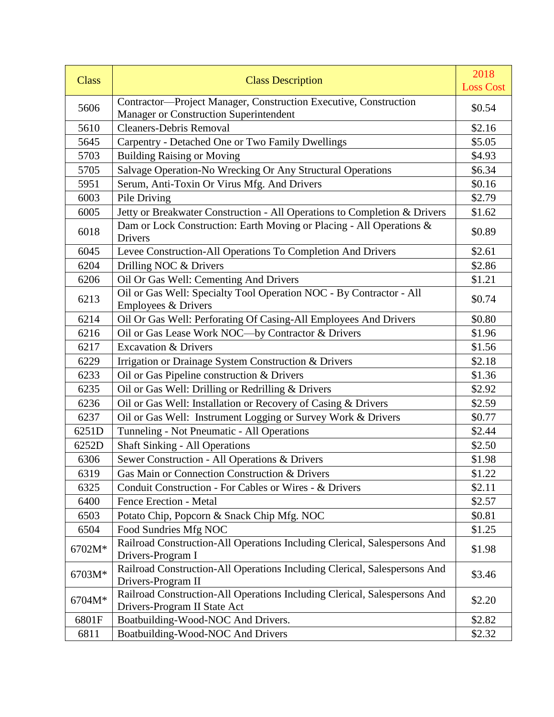| <b>Class</b> | <b>Class Description</b>                                                                                   | 2018<br><b>Loss Cost</b> |
|--------------|------------------------------------------------------------------------------------------------------------|--------------------------|
| 5606         | Contractor-Project Manager, Construction Executive, Construction<br>Manager or Construction Superintendent | \$0.54                   |
| 5610         | <b>Cleaners-Debris Removal</b>                                                                             | \$2.16                   |
| 5645         | Carpentry - Detached One or Two Family Dwellings                                                           | \$5.05                   |
| 5703         | <b>Building Raising or Moving</b>                                                                          | \$4.93                   |
| 5705         | Salvage Operation-No Wrecking Or Any Structural Operations                                                 | \$6.34                   |
| 5951         | Serum, Anti-Toxin Or Virus Mfg. And Drivers                                                                | \$0.16                   |
| 6003         | Pile Driving                                                                                               | \$2.79                   |
| 6005         | Jetty or Breakwater Construction - All Operations to Completion & Drivers                                  | \$1.62                   |
| 6018         | Dam or Lock Construction: Earth Moving or Placing - All Operations &<br>Drivers                            | \$0.89                   |
| 6045         | Levee Construction-All Operations To Completion And Drivers                                                | \$2.61                   |
| 6204         | Drilling NOC & Drivers                                                                                     | \$2.86                   |
| 6206         | Oil Or Gas Well: Cementing And Drivers                                                                     | \$1.21                   |
| 6213         | Oil or Gas Well: Specialty Tool Operation NOC - By Contractor - All<br>Employees & Drivers                 | \$0.74                   |
| 6214         | Oil Or Gas Well: Perforating Of Casing-All Employees And Drivers                                           | \$0.80                   |
| 6216         | Oil or Gas Lease Work NOC-by Contractor & Drivers                                                          | \$1.96                   |
| 6217         | <b>Excavation &amp; Drivers</b>                                                                            | \$1.56                   |
| 6229         | Irrigation or Drainage System Construction & Drivers                                                       | \$2.18                   |
| 6233         | Oil or Gas Pipeline construction & Drivers                                                                 | \$1.36                   |
| 6235         | Oil or Gas Well: Drilling or Redrilling & Drivers                                                          | \$2.92                   |
| 6236         | Oil or Gas Well: Installation or Recovery of Casing & Drivers                                              | \$2.59                   |
| 6237         | Oil or Gas Well: Instrument Logging or Survey Work & Drivers                                               | \$0.77                   |
| 6251D        | Tunneling - Not Pneumatic - All Operations                                                                 | \$2.44                   |
| 6252D        | <b>Shaft Sinking - All Operations</b>                                                                      | \$2.50                   |
| 6306         | Sewer Construction - All Operations & Drivers                                                              | \$1.98                   |
| 6319         | Gas Main or Connection Construction & Drivers                                                              | \$1.22                   |
| 6325         | Conduit Construction - For Cables or Wires - & Drivers                                                     | \$2.11                   |
| 6400         | Fence Erection - Metal                                                                                     | \$2.57                   |
| 6503         | Potato Chip, Popcorn & Snack Chip Mfg. NOC                                                                 | \$0.81                   |
| 6504         | Food Sundries Mfg NOC                                                                                      | \$1.25                   |
| 6702M*       | Railroad Construction-All Operations Including Clerical, Salespersons And<br>Drivers-Program I             | \$1.98                   |
| 6703M*       | Railroad Construction-All Operations Including Clerical, Salespersons And<br>Drivers-Program II            | \$3.46                   |
| 6704M*       | Railroad Construction-All Operations Including Clerical, Salespersons And<br>Drivers-Program II State Act  | \$2.20                   |
| 6801F        | Boatbuilding-Wood-NOC And Drivers.                                                                         | \$2.82                   |
| 6811         | Boatbuilding-Wood-NOC And Drivers                                                                          | \$2.32                   |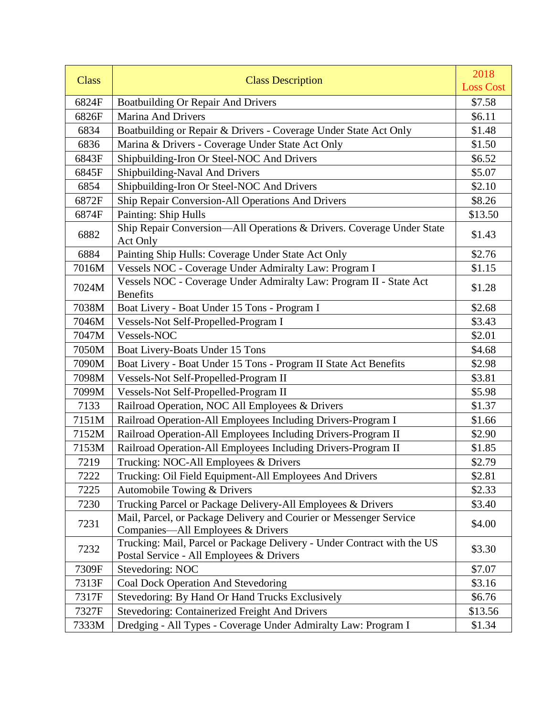| <b>Class</b> | <b>Class Description</b>                                                                                            | 2018             |
|--------------|---------------------------------------------------------------------------------------------------------------------|------------------|
|              |                                                                                                                     | <b>Loss Cost</b> |
| 6824F        | <b>Boatbuilding Or Repair And Drivers</b>                                                                           | \$7.58           |
| 6826F        | <b>Marina And Drivers</b>                                                                                           | \$6.11           |
| 6834         | Boatbuilding or Repair & Drivers - Coverage Under State Act Only                                                    | \$1.48           |
| 6836         | Marina & Drivers - Coverage Under State Act Only                                                                    | \$1.50           |
| 6843F        | Shipbuilding-Iron Or Steel-NOC And Drivers                                                                          | \$6.52           |
| 6845F        | Shipbuilding-Naval And Drivers                                                                                      | \$5.07           |
| 6854         | Shipbuilding-Iron Or Steel-NOC And Drivers                                                                          | \$2.10           |
| 6872F        | Ship Repair Conversion-All Operations And Drivers                                                                   | \$8.26           |
| 6874F        | Painting: Ship Hulls                                                                                                | \$13.50          |
| 6882         | Ship Repair Conversion-All Operations & Drivers. Coverage Under State<br>Act Only                                   | \$1.43           |
| 6884         | Painting Ship Hulls: Coverage Under State Act Only                                                                  | \$2.76           |
| 7016M        | Vessels NOC - Coverage Under Admiralty Law: Program I                                                               | \$1.15           |
| 7024M        | Vessels NOC - Coverage Under Admiralty Law: Program II - State Act<br><b>Benefits</b>                               | \$1.28           |
| 7038M        | Boat Livery - Boat Under 15 Tons - Program I                                                                        | \$2.68           |
| 7046M        | Vessels-Not Self-Propelled-Program I                                                                                | \$3.43           |
| 7047M        | Vessels-NOC                                                                                                         | \$2.01           |
| 7050M        | Boat Livery-Boats Under 15 Tons                                                                                     | \$4.68           |
| 7090M        | Boat Livery - Boat Under 15 Tons - Program II State Act Benefits                                                    | \$2.98           |
| 7098M        | Vessels-Not Self-Propelled-Program II                                                                               | \$3.81           |
| 7099M        | Vessels-Not Self-Propelled-Program II                                                                               | \$5.98           |
| 7133         | Railroad Operation, NOC All Employees & Drivers                                                                     | \$1.37           |
| 7151M        | Railroad Operation-All Employees Including Drivers-Program I                                                        | \$1.66           |
| 7152M        | Railroad Operation-All Employees Including Drivers-Program II                                                       | \$2.90           |
| 7153M        | Railroad Operation-All Employees Including Drivers-Program II                                                       | \$1.85           |
| 7219         | Trucking: NOC-All Employees & Drivers                                                                               | \$2.79           |
| 7222         | Trucking: Oil Field Equipment-All Employees And Drivers                                                             | \$2.81           |
| 7225         | Automobile Towing & Drivers                                                                                         | \$2.33           |
| 7230         | Trucking Parcel or Package Delivery-All Employees & Drivers                                                         | \$3.40           |
| 7231         | Mail, Parcel, or Package Delivery and Courier or Messenger Service<br>Companies—All Employees & Drivers             | \$4.00           |
| 7232         | Trucking: Mail, Parcel or Package Delivery - Under Contract with the US<br>Postal Service - All Employees & Drivers | \$3.30           |
| 7309F        | Stevedoring: NOC                                                                                                    | \$7.07           |
| 7313F        | Coal Dock Operation And Stevedoring                                                                                 | \$3.16           |
| 7317F        | Stevedoring: By Hand Or Hand Trucks Exclusively                                                                     | \$6.76           |
| 7327F        | <b>Stevedoring: Containerized Freight And Drivers</b>                                                               | \$13.56          |
| 7333M        | Dredging - All Types - Coverage Under Admiralty Law: Program I                                                      | \$1.34           |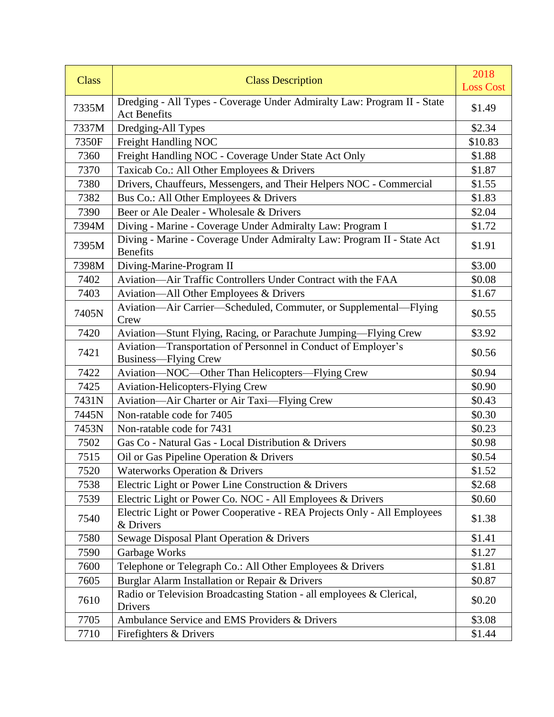| <b>Class</b> | <b>Class Description</b>                                                                       | 2018<br><b>Loss Cost</b> |
|--------------|------------------------------------------------------------------------------------------------|--------------------------|
| 7335M        | Dredging - All Types - Coverage Under Admiralty Law: Program II - State<br><b>Act Benefits</b> | \$1.49                   |
| 7337M        | Dredging-All Types                                                                             | \$2.34                   |
| 7350F        | Freight Handling NOC                                                                           | \$10.83                  |
| 7360         | Freight Handling NOC - Coverage Under State Act Only                                           | \$1.88                   |
| 7370         | Taxicab Co.: All Other Employees & Drivers                                                     | \$1.87                   |
| 7380         | Drivers, Chauffeurs, Messengers, and Their Helpers NOC - Commercial                            | \$1.55                   |
| 7382         | Bus Co.: All Other Employees & Drivers                                                         | \$1.83                   |
| 7390         | Beer or Ale Dealer - Wholesale & Drivers                                                       | \$2.04                   |
| 7394M        | Diving - Marine - Coverage Under Admiralty Law: Program I                                      | \$1.72                   |
| 7395M        | Diving - Marine - Coverage Under Admiralty Law: Program II - State Act<br><b>Benefits</b>      | \$1.91                   |
| 7398M        | Diving-Marine-Program II                                                                       | \$3.00                   |
| 7402         | Aviation-Air Traffic Controllers Under Contract with the FAA                                   | \$0.08                   |
| 7403         | Aviation—All Other Employees & Drivers                                                         | \$1.67                   |
| 7405N        | Aviation-Air Carrier-Scheduled, Commuter, or Supplemental-Flying<br>Crew                       | \$0.55                   |
| 7420         | Aviation-Stunt Flying, Racing, or Parachute Jumping-Flying Crew                                | \$3.92                   |
| 7421         | Aviation—Transportation of Personnel in Conduct of Employer's<br>Business—Flying Crew          | \$0.56                   |
| 7422         | Aviation-NOC-Other Than Helicopters-Flying Crew                                                | \$0.94                   |
| 7425         | <b>Aviation-Helicopters-Flying Crew</b>                                                        | \$0.90                   |
| 7431N        | Aviation-Air Charter or Air Taxi-Flying Crew                                                   | \$0.43                   |
| 7445N        | Non-ratable code for 7405                                                                      | \$0.30                   |
| 7453N        | Non-ratable code for 7431                                                                      | \$0.23                   |
| 7502         | Gas Co - Natural Gas - Local Distribution & Drivers                                            | \$0.98                   |
| 7515         | Oil or Gas Pipeline Operation & Drivers                                                        | \$0.54                   |
| 7520         | <b>Waterworks Operation &amp; Drivers</b>                                                      | \$1.52                   |
| 7538         | Electric Light or Power Line Construction & Drivers                                            | \$2.68                   |
| 7539         | Electric Light or Power Co. NOC - All Employees & Drivers                                      | \$0.60                   |
| 7540         | Electric Light or Power Cooperative - REA Projects Only - All Employees<br>& Drivers           | \$1.38                   |
| 7580         | Sewage Disposal Plant Operation & Drivers                                                      | \$1.41                   |
| 7590         | Garbage Works                                                                                  | \$1.27                   |
| 7600         | Telephone or Telegraph Co.: All Other Employees & Drivers                                      | \$1.81                   |
| 7605         | Burglar Alarm Installation or Repair & Drivers                                                 | \$0.87                   |
| 7610         | Radio or Television Broadcasting Station - all employees & Clerical,<br>Drivers                | \$0.20                   |
| 7705         | Ambulance Service and EMS Providers & Drivers                                                  | \$3.08                   |
| 7710         | Firefighters & Drivers                                                                         | \$1.44                   |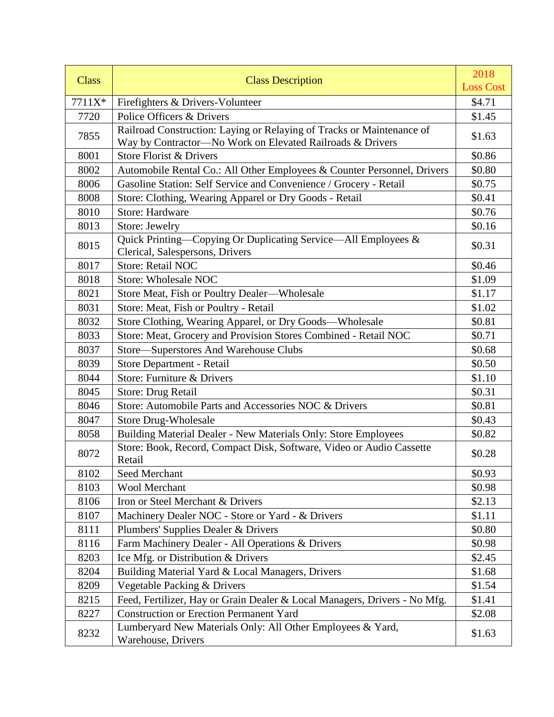| <b>Class</b> | <b>Class Description</b>                                                                           | 2018<br><b>Loss Cost</b> |
|--------------|----------------------------------------------------------------------------------------------------|--------------------------|
|              |                                                                                                    |                          |
| 7711X*       | Firefighters & Drivers-Volunteer                                                                   | \$4.71                   |
| 7720         | Police Officers & Drivers<br>Railroad Construction: Laying or Relaying of Tracks or Maintenance of | \$1.45                   |
| 7855         | Way by Contractor-No Work on Elevated Railroads & Drivers                                          | \$1.63                   |
| 8001         | Store Florist & Drivers                                                                            | \$0.86                   |
| 8002         | Automobile Rental Co.: All Other Employees & Counter Personnel, Drivers                            | \$0.80                   |
| 8006         | Gasoline Station: Self Service and Convenience / Grocery - Retail                                  | \$0.75                   |
| 8008         | Store: Clothing, Wearing Apparel or Dry Goods - Retail                                             | \$0.41                   |
| 8010         | <b>Store: Hardware</b>                                                                             | \$0.76                   |
| 8013         | Store: Jewelry                                                                                     | \$0.16                   |
| 8015         | Quick Printing—Copying Or Duplicating Service—All Employees &<br>Clerical, Salespersons, Drivers   | \$0.31                   |
| 8017         | <b>Store: Retail NOC</b>                                                                           | \$0.46                   |
| 8018         | <b>Store: Wholesale NOC</b>                                                                        | \$1.09                   |
| 8021         | Store Meat, Fish or Poultry Dealer-Wholesale                                                       | \$1.17                   |
| 8031         | Store: Meat, Fish or Poultry - Retail                                                              | \$1.02                   |
| 8032         | Store Clothing, Wearing Apparel, or Dry Goods-Wholesale                                            | \$0.81                   |
| 8033         | Store: Meat, Grocery and Provision Stores Combined - Retail NOC                                    | \$0.71                   |
| 8037         | Store-Superstores And Warehouse Clubs                                                              | \$0.68                   |
| 8039         | Store Department - Retail                                                                          | \$0.50                   |
| 8044         | Store: Furniture & Drivers                                                                         | \$1.10                   |
| 8045         | Store: Drug Retail                                                                                 | \$0.31                   |
| 8046         | Store: Automobile Parts and Accessories NOC & Drivers                                              | \$0.81                   |
| 8047         | <b>Store Drug-Wholesale</b>                                                                        | \$0.43                   |
| 8058         | Building Material Dealer - New Materials Only: Store Employees                                     | \$0.82                   |
| 8072         | Store: Book, Record, Compact Disk, Software, Video or Audio Cassette<br>Retail                     | \$0.28                   |
| 8102         | Seed Merchant                                                                                      | \$0.93                   |
| 8103         | <b>Wool Merchant</b>                                                                               | \$0.98                   |
| 8106         | Iron or Steel Merchant & Drivers                                                                   | \$2.13                   |
| 8107         | Machinery Dealer NOC - Store or Yard - & Drivers                                                   | \$1.11                   |
| 8111         | Plumbers' Supplies Dealer & Drivers                                                                | \$0.80                   |
| 8116         | Farm Machinery Dealer - All Operations & Drivers                                                   | \$0.98                   |
| 8203         | Ice Mfg. or Distribution & Drivers                                                                 | \$2.45                   |
| 8204         | Building Material Yard & Local Managers, Drivers                                                   | \$1.68                   |
| 8209         | Vegetable Packing & Drivers                                                                        | \$1.54                   |
| 8215         | Feed, Fertilizer, Hay or Grain Dealer & Local Managers, Drivers - No Mfg.                          | \$1.41                   |
| 8227         | <b>Construction or Erection Permanent Yard</b>                                                     | \$2.08                   |
| 8232         | Lumberyard New Materials Only: All Other Employees & Yard,<br>Warehouse, Drivers                   | \$1.63                   |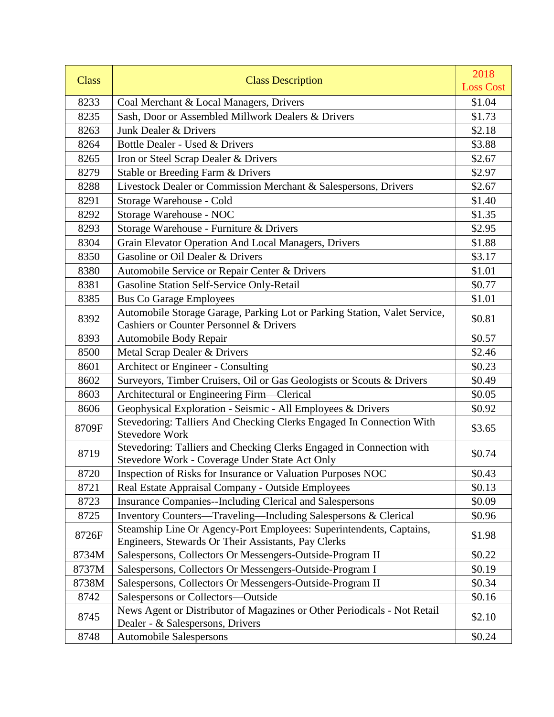| <b>Class</b> | <b>Class Description</b>                                                                                                   | 2018<br><b>Loss Cost</b> |
|--------------|----------------------------------------------------------------------------------------------------------------------------|--------------------------|
| 8233         | Coal Merchant & Local Managers, Drivers                                                                                    | \$1.04                   |
| 8235         | Sash, Door or Assembled Millwork Dealers & Drivers                                                                         | \$1.73                   |
| 8263         | Junk Dealer & Drivers                                                                                                      | \$2.18                   |
| 8264         | Bottle Dealer - Used & Drivers                                                                                             | \$3.88                   |
| 8265         | Iron or Steel Scrap Dealer & Drivers                                                                                       | \$2.67                   |
| 8279         | Stable or Breeding Farm & Drivers                                                                                          | \$2.97                   |
| 8288         | Livestock Dealer or Commission Merchant & Salespersons, Drivers                                                            | \$2.67                   |
| 8291         | Storage Warehouse - Cold                                                                                                   | \$1.40                   |
| 8292         | Storage Warehouse - NOC                                                                                                    | \$1.35                   |
| 8293         | Storage Warehouse - Furniture & Drivers                                                                                    | \$2.95                   |
| 8304         | Grain Elevator Operation And Local Managers, Drivers                                                                       | \$1.88                   |
| 8350         | Gasoline or Oil Dealer & Drivers                                                                                           | \$3.17                   |
| 8380         | Automobile Service or Repair Center & Drivers                                                                              | \$1.01                   |
| 8381         | Gasoline Station Self-Service Only-Retail                                                                                  | \$0.77                   |
| 8385         | <b>Bus Co Garage Employees</b>                                                                                             | \$1.01                   |
| 8392         | Automobile Storage Garage, Parking Lot or Parking Station, Valet Service,                                                  | \$0.81                   |
|              | <b>Cashiers or Counter Personnel &amp; Drivers</b>                                                                         |                          |
| 8393         | Automobile Body Repair                                                                                                     | \$0.57                   |
| 8500         | Metal Scrap Dealer & Drivers                                                                                               | \$2.46                   |
| 8601         | Architect or Engineer - Consulting                                                                                         | \$0.23                   |
| 8602         | Surveyors, Timber Cruisers, Oil or Gas Geologists or Scouts & Drivers                                                      | \$0.49                   |
| 8603         | Architectural or Engineering Firm-Clerical                                                                                 | \$0.05                   |
| 8606         | Geophysical Exploration - Seismic - All Employees & Drivers                                                                | \$0.92                   |
| 8709F        | Stevedoring: Talliers And Checking Clerks Engaged In Connection With<br><b>Stevedore Work</b>                              | \$3.65                   |
| 8719         | Stevedoring: Talliers and Checking Clerks Engaged in Connection with<br>Stevedore Work - Coverage Under State Act Only     | \$0.74                   |
| 8720         | Inspection of Risks for Insurance or Valuation Purposes NOC                                                                | \$0.43                   |
| 8721         | Real Estate Appraisal Company - Outside Employees                                                                          | \$0.13                   |
| 8723         | <b>Insurance Companies--Including Clerical and Salespersons</b>                                                            | \$0.09                   |
| 8725         | Inventory Counters-Traveling-Including Salespersons & Clerical                                                             | \$0.96                   |
| 8726F        | Steamship Line Or Agency-Port Employees: Superintendents, Captains,<br>Engineers, Stewards Or Their Assistants, Pay Clerks | \$1.98                   |
| 8734M        | Salespersons, Collectors Or Messengers-Outside-Program II                                                                  | \$0.22                   |
| 8737M        | Salespersons, Collectors Or Messengers-Outside-Program I                                                                   | \$0.19                   |
| 8738M        | Salespersons, Collectors Or Messengers-Outside-Program II                                                                  | \$0.34                   |
| 8742         | Salespersons or Collectors-Outside                                                                                         | \$0.16                   |
| 8745         | News Agent or Distributor of Magazines or Other Periodicals - Not Retail<br>Dealer - & Salespersons, Drivers               | \$2.10                   |
| 8748         | <b>Automobile Salespersons</b>                                                                                             | \$0.24                   |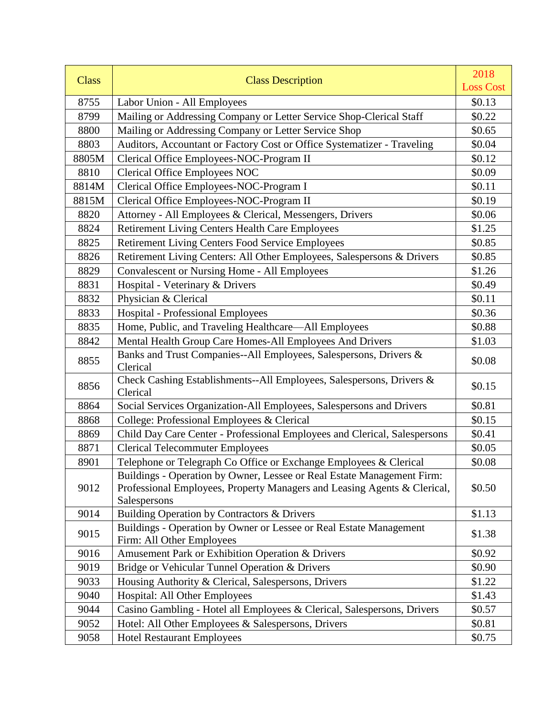| <b>Class</b> | <b>Class Description</b>                                                                                                                                           | 2018             |
|--------------|--------------------------------------------------------------------------------------------------------------------------------------------------------------------|------------------|
|              |                                                                                                                                                                    | <b>Loss Cost</b> |
| 8755         | Labor Union - All Employees                                                                                                                                        | \$0.13           |
| 8799         | Mailing or Addressing Company or Letter Service Shop-Clerical Staff                                                                                                | \$0.22           |
| 8800         | Mailing or Addressing Company or Letter Service Shop                                                                                                               | \$0.65           |
| 8803         | Auditors, Accountant or Factory Cost or Office Systematizer - Traveling                                                                                            | \$0.04           |
| 8805M        | Clerical Office Employees-NOC-Program II                                                                                                                           | \$0.12           |
| 8810         | <b>Clerical Office Employees NOC</b>                                                                                                                               | \$0.09           |
| 8814M        | Clerical Office Employees-NOC-Program I                                                                                                                            | \$0.11           |
| 8815M        | Clerical Office Employees-NOC-Program II                                                                                                                           | \$0.19           |
| 8820         | Attorney - All Employees & Clerical, Messengers, Drivers                                                                                                           | \$0.06           |
| 8824         | <b>Retirement Living Centers Health Care Employees</b>                                                                                                             | \$1.25           |
| 8825         | <b>Retirement Living Centers Food Service Employees</b>                                                                                                            | \$0.85           |
| 8826         | Retirement Living Centers: All Other Employees, Salespersons & Drivers                                                                                             | \$0.85           |
| 8829         | <b>Convalescent or Nursing Home - All Employees</b>                                                                                                                | \$1.26           |
| 8831         | Hospital - Veterinary & Drivers                                                                                                                                    | \$0.49           |
| 8832         | Physician & Clerical                                                                                                                                               | \$0.11           |
| 8833         | <b>Hospital - Professional Employees</b>                                                                                                                           | \$0.36           |
| 8835         | Home, Public, and Traveling Healthcare-All Employees                                                                                                               | \$0.88           |
| 8842         | Mental Health Group Care Homes-All Employees And Drivers                                                                                                           | \$1.03           |
| 8855         | Banks and Trust Companies--All Employees, Salespersons, Drivers &<br>Clerical                                                                                      | \$0.08           |
| 8856         | Check Cashing Establishments--All Employees, Salespersons, Drivers &<br>Clerical                                                                                   | \$0.15           |
| 8864         | Social Services Organization-All Employees, Salespersons and Drivers                                                                                               | \$0.81           |
| 8868         | College: Professional Employees & Clerical                                                                                                                         | \$0.15           |
| 8869         | Child Day Care Center - Professional Employees and Clerical, Salespersons                                                                                          | \$0.41           |
| 8871         | <b>Clerical Telecommuter Employees</b>                                                                                                                             | \$0.05           |
| 8901         | Telephone or Telegraph Co Office or Exchange Employees & Clerical                                                                                                  | \$0.08           |
| 9012         | Buildings - Operation by Owner, Lessee or Real Estate Management Firm:<br>Professional Employees, Property Managers and Leasing Agents & Clerical,<br>Salespersons | \$0.50           |
| 9014         | Building Operation by Contractors & Drivers                                                                                                                        | \$1.13           |
| 9015         | Buildings - Operation by Owner or Lessee or Real Estate Management<br>Firm: All Other Employees                                                                    | \$1.38           |
| 9016         | Amusement Park or Exhibition Operation & Drivers                                                                                                                   | \$0.92           |
| 9019         | Bridge or Vehicular Tunnel Operation & Drivers                                                                                                                     | \$0.90           |
| 9033         | Housing Authority & Clerical, Salespersons, Drivers                                                                                                                | \$1.22           |
| 9040         | <b>Hospital: All Other Employees</b>                                                                                                                               | \$1.43           |
| 9044         | Casino Gambling - Hotel all Employees & Clerical, Salespersons, Drivers                                                                                            | \$0.57           |
| 9052         | Hotel: All Other Employees & Salespersons, Drivers                                                                                                                 | \$0.81           |
| 9058         | <b>Hotel Restaurant Employees</b>                                                                                                                                  | \$0.75           |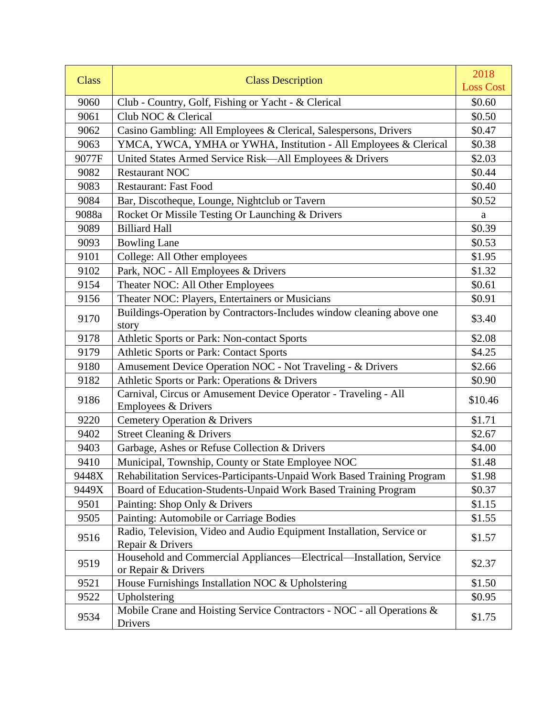| <b>Class</b> | <b>Class Description</b>                                                                    | 2018<br><b>Loss Cost</b> |
|--------------|---------------------------------------------------------------------------------------------|--------------------------|
| 9060         | Club - Country, Golf, Fishing or Yacht - & Clerical                                         | \$0.60                   |
| 9061         | Club NOC & Clerical                                                                         | \$0.50                   |
| 9062         | Casino Gambling: All Employees & Clerical, Salespersons, Drivers                            | \$0.47                   |
| 9063         | YMCA, YWCA, YMHA or YWHA, Institution - All Employees & Clerical                            | \$0.38                   |
| 9077F        | United States Armed Service Risk—All Employees & Drivers                                    | \$2.03                   |
| 9082         | <b>Restaurant NOC</b>                                                                       | \$0.44                   |
| 9083         | <b>Restaurant: Fast Food</b>                                                                | \$0.40                   |
| 9084         | Bar, Discotheque, Lounge, Nightclub or Tavern                                               | \$0.52                   |
| 9088a        | Rocket Or Missile Testing Or Launching & Drivers                                            | a                        |
| 9089         | <b>Billiard Hall</b>                                                                        | \$0.39                   |
| 9093         | <b>Bowling Lane</b>                                                                         | \$0.53                   |
| 9101         | College: All Other employees                                                                | \$1.95                   |
| 9102         | Park, NOC - All Employees & Drivers                                                         | \$1.32                   |
| 9154         | Theater NOC: All Other Employees                                                            | \$0.61                   |
| 9156         | Theater NOC: Players, Entertainers or Musicians                                             | \$0.91                   |
| 9170         | Buildings-Operation by Contractors-Includes window cleaning above one<br>story              | \$3.40                   |
| 9178         | Athletic Sports or Park: Non-contact Sports                                                 | \$2.08                   |
| 9179         | <b>Athletic Sports or Park: Contact Sports</b>                                              | \$4.25                   |
| 9180         | Amusement Device Operation NOC - Not Traveling - & Drivers                                  | \$2.66                   |
| 9182         | Athletic Sports or Park: Operations & Drivers                                               | \$0.90                   |
| 9186         | Carnival, Circus or Amusement Device Operator - Traveling - All<br>Employees & Drivers      | \$10.46                  |
| 9220         | <b>Cemetery Operation &amp; Drivers</b>                                                     | \$1.71                   |
| 9402         | <b>Street Cleaning &amp; Drivers</b>                                                        | \$2.67                   |
| 9403         | Garbage, Ashes or Refuse Collection & Drivers                                               | \$4.00                   |
| 9410         | Municipal, Township, County or State Employee NOC                                           | \$1.48                   |
| 9448X        | Rehabilitation Services-Participants-Unpaid Work Based Training Program                     | \$1.98                   |
| 9449X        | Board of Education-Students-Unpaid Work Based Training Program                              | \$0.37                   |
| 9501         | Painting: Shop Only & Drivers                                                               | \$1.15                   |
| 9505         | Painting: Automobile or Carriage Bodies                                                     | \$1.55                   |
| 9516         | Radio, Television, Video and Audio Equipment Installation, Service or<br>Repair & Drivers   | \$1.57                   |
| 9519         | Household and Commercial Appliances—Electrical—Installation, Service<br>or Repair & Drivers | \$2.37                   |
| 9521         | House Furnishings Installation NOC & Upholstering                                           | \$1.50                   |
| 9522         | Upholstering                                                                                | \$0.95                   |
| 9534         | Mobile Crane and Hoisting Service Contractors - NOC - all Operations &<br>Drivers           | \$1.75                   |